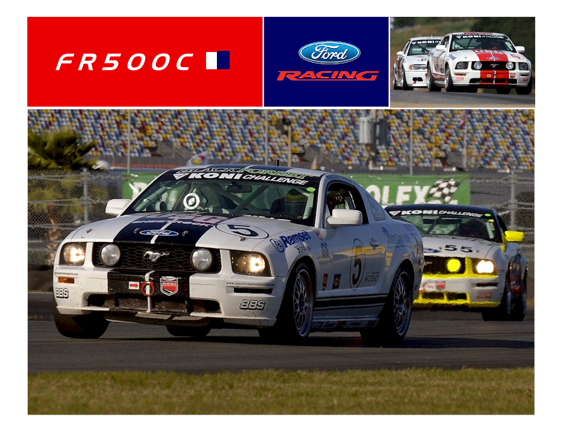